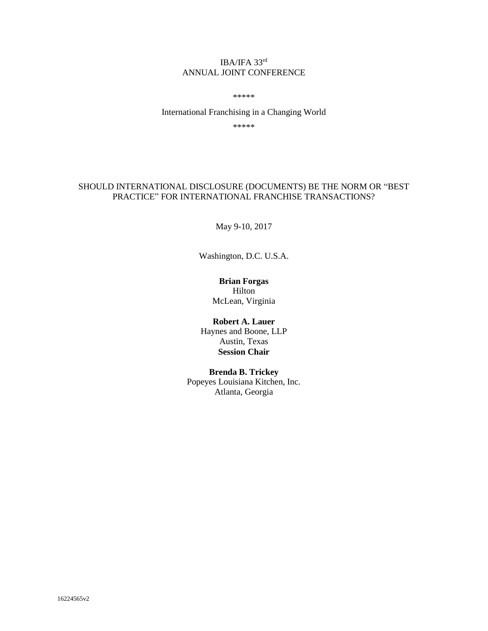## IBA/IFA 33rd ANNUAL JOINT CONFERENCE

\*\*\*\*\*

International Franchising in a Changing World

\*\*\*\*\*

## SHOULD INTERNATIONAL DISCLOSURE (DOCUMENTS) BE THE NORM OR "BEST PRACTICE" FOR INTERNATIONAL FRANCHISE TRANSACTIONS?

May 9-10, 2017

Washington, D.C. U.S.A.

# **Brian Forgas**

Hilton McLean, Virginia

## **Robert A. Lauer**

Haynes and Boone, LLP Austin, Texas **Session Chair** 

### **Brenda B. Trickey**

Popeyes Louisiana Kitchen, Inc. Atlanta, Georgia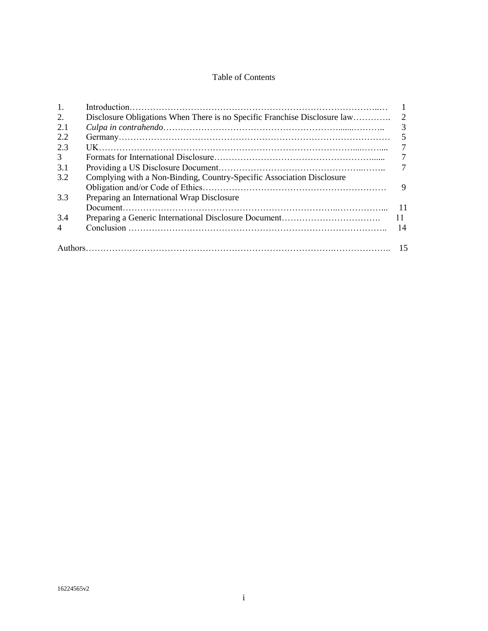## Table of Contents

| 1.             |                                                                       | $\overline{1}$ |
|----------------|-----------------------------------------------------------------------|----------------|
| 2.             |                                                                       |                |
| 2.1            |                                                                       | 3              |
| 2.2            |                                                                       |                |
| 2.3            |                                                                       | 7              |
| $\mathfrak{Z}$ |                                                                       | 7              |
| 3.1            |                                                                       | 7              |
| 3.2            | Complying with a Non-Binding, Country-Specific Association Disclosure |                |
|                |                                                                       | 9              |
| 3.3            | Preparing an International Wrap Disclosure                            |                |
|                |                                                                       | $-11$          |
| 3.4            |                                                                       | <sup>11</sup>  |
| $\overline{4}$ |                                                                       | 14             |
|                |                                                                       |                |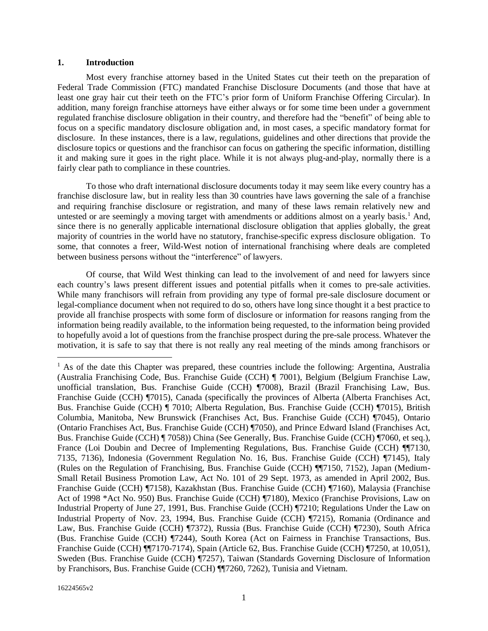#### **1. Introduction**

Most every franchise attorney based in the United States cut their teeth on the preparation of Federal Trade Commission (FTC) mandated Franchise Disclosure Documents (and those that have at least one gray hair cut their teeth on the FTC's prior form of Uniform Franchise Offering Circular). In addition, many foreign franchise attorneys have either always or for some time been under a government regulated franchise disclosure obligation in their country, and therefore had the "benefit" of being able to focus on a specific mandatory disclosure obligation and, in most cases, a specific mandatory format for disclosure. In these instances, there is a law, regulations, guidelines and other directions that provide the disclosure topics or questions and the franchisor can focus on gathering the specific information, distilling it and making sure it goes in the right place. While it is not always plug-and-play, normally there is a fairly clear path to compliance in these countries.

To those who draft international disclosure documents today it may seem like every country has a franchise disclosure law, but in reality less than 30 countries have laws governing the sale of a franchise and requiring franchise disclosure or registration, and many of these laws remain relatively new and untested or are seemingly a moving target with amendments or additions almost on a yearly basis.<sup>1</sup> And, since there is no generally applicable international disclosure obligation that applies globally, the great majority of countries in the world have no statutory, franchise-specific express disclosure obligation. To some, that connotes a freer, Wild-West notion of international franchising where deals are completed between business persons without the "interference" of lawyers.

Of course, that Wild West thinking can lead to the involvement of and need for lawyers since each country's laws present different issues and potential pitfalls when it comes to pre-sale activities. While many franchisors will refrain from providing any type of formal pre-sale disclosure document or legal-compliance document when not required to do so, others have long since thought it a best practice to provide all franchise prospects with some form of disclosure or information for reasons ranging from the information being readily available, to the information being requested, to the information being provided to hopefully avoid a lot of questions from the franchise prospect during the pre-sale process. Whatever the motivation, it is safe to say that there is not really any real meeting of the minds among franchisors or

<sup>&</sup>lt;sup>1</sup> As of the date this Chapter was prepared, these countries include the following: Argentina, Australia (Australia Franchising Code, Bus. Franchise Guide (CCH) ¶ 7001), Belgium (Belgium Franchise Law, unofficial translation, Bus. Franchise Guide (CCH) ¶7008), Brazil (Brazil Franchising Law, Bus. Franchise Guide (CCH) ¶7015), Canada (specifically the provinces of Alberta (Alberta Franchises Act, Bus. Franchise Guide (CCH) ¶ 7010; Alberta Regulation, Bus. Franchise Guide (CCH) ¶7015), British Columbia, Manitoba, New Brunswick (Franchises Act, Bus. Franchise Guide (CCH) ¶7045), Ontario (Ontario Franchises Act, Bus. Franchise Guide (CCH) ¶7050), and Prince Edward Island (Franchises Act, Bus. Franchise Guide (CCH) ¶ 7058)) China (See Generally, Bus. Franchise Guide (CCH) ¶7060, et seq.), France (Loi Doubin and Decree of Implementing Regulations, Bus. Franchise Guide (CCH) ¶¶7130, 7135, 7136), Indonesia (Government Regulation No. 16, Bus. Franchise Guide (CCH) ¶7145), Italy (Rules on the Regulation of Franchising, Bus. Franchise Guide (CCH) ¶¶7150, 7152), Japan (Medium-Small Retail Business Promotion Law, Act No. 101 of 29 Sept. 1973, as amended in April 2002, Bus. Franchise Guide (CCH) ¶7158), Kazakhstan (Bus. Franchise Guide (CCH) ¶7160), Malaysia (Franchise Act of 1998 \*Act No. 950) Bus. Franchise Guide (CCH) ¶7180), Mexico (Franchise Provisions, Law on Industrial Property of June 27, 1991, Bus. Franchise Guide (CCH) ¶7210; Regulations Under the Law on Industrial Property of Nov. 23, 1994, Bus. Franchise Guide (CCH) ¶7215), Romania (Ordinance and Law, Bus. Franchise Guide (CCH) ¶7372), Russia (Bus. Franchise Guide (CCH) ¶7230), South Africa (Bus. Franchise Guide (CCH) ¶7244), South Korea (Act on Fairness in Franchise Transactions, Bus. Franchise Guide (CCH) ¶¶7170-7174), Spain (Article 62, Bus. Franchise Guide (CCH) ¶7250, at 10,051), Sweden (Bus. Franchise Guide (CCH) ¶7257), Taiwan (Standards Governing Disclosure of Information by Franchisors, Bus. Franchise Guide (CCH) ¶¶7260, 7262), Tunisia and Vietnam.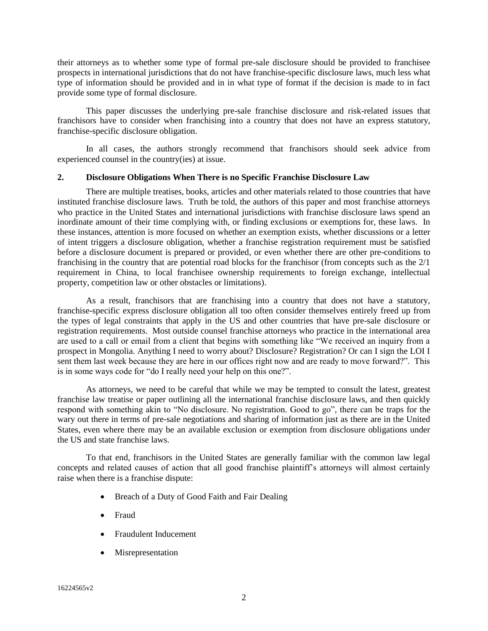their attorneys as to whether some type of formal pre-sale disclosure should be provided to franchisee prospects in international jurisdictions that do not have franchise-specific disclosure laws, much less what type of information should be provided and in in what type of format if the decision is made to in fact provide some type of formal disclosure.

This paper discusses the underlying pre-sale franchise disclosure and risk-related issues that franchisors have to consider when franchising into a country that does not have an express statutory, franchise-specific disclosure obligation.

In all cases, the authors strongly recommend that franchisors should seek advice from experienced counsel in the country(ies) at issue.

### **2. Disclosure Obligations When There is no Specific Franchise Disclosure Law**

There are multiple treatises, books, articles and other materials related to those countries that have instituted franchise disclosure laws. Truth be told, the authors of this paper and most franchise attorneys who practice in the United States and international jurisdictions with franchise disclosure laws spend an inordinate amount of their time complying with, or finding exclusions or exemptions for, these laws. In these instances, attention is more focused on whether an exemption exists, whether discussions or a letter of intent triggers a disclosure obligation, whether a franchise registration requirement must be satisfied before a disclosure document is prepared or provided, or even whether there are other pre-conditions to franchising in the country that are potential road blocks for the franchisor (from concepts such as the 2/1 requirement in China, to local franchisee ownership requirements to foreign exchange, intellectual property, competition law or other obstacles or limitations).

As a result, franchisors that are franchising into a country that does not have a statutory, franchise-specific express disclosure obligation all too often consider themselves entirely freed up from the types of legal constraints that apply in the US and other countries that have pre-sale disclosure or registration requirements. Most outside counsel franchise attorneys who practice in the international area are used to a call or email from a client that begins with something like "We received an inquiry from a prospect in Mongolia. Anything I need to worry about? Disclosure? Registration? Or can I sign the LOI I sent them last week because they are here in our offices right now and are ready to move forward?". This is in some ways code for "do I really need your help on this one?".

As attorneys, we need to be careful that while we may be tempted to consult the latest, greatest franchise law treatise or paper outlining all the international franchise disclosure laws, and then quickly respond with something akin to "No disclosure. No registration. Good to go", there can be traps for the wary out there in terms of pre-sale negotiations and sharing of information just as there are in the United States, even where there may be an available exclusion or exemption from disclosure obligations under the US and state franchise laws.

To that end, franchisors in the United States are generally familiar with the common law legal concepts and related causes of action that all good franchise plaintiff's attorneys will almost certainly raise when there is a franchise dispute:

- Breach of a Duty of Good Faith and Fair Dealing
- Fraud
- Fraudulent Inducement
- Misrepresentation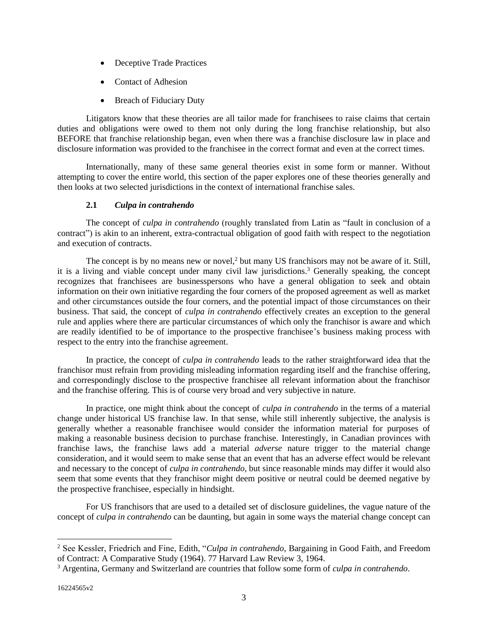- Deceptive Trade Practices
- Contact of Adhesion
- Breach of Fiduciary Duty

Litigators know that these theories are all tailor made for franchisees to raise claims that certain duties and obligations were owed to them not only during the long franchise relationship, but also BEFORE that franchise relationship began, even when there was a franchise disclosure law in place and disclosure information was provided to the franchisee in the correct format and even at the correct times.

Internationally, many of these same general theories exist in some form or manner. Without attempting to cover the entire world, this section of the paper explores one of these theories generally and then looks at two selected jurisdictions in the context of international franchise sales.

## **2.1** *Culpa in contrahendo*

The concept of *culpa in contrahendo* (roughly translated from Latin as "fault in conclusion of a contract") is akin to an inherent, extra-contractual obligation of good faith with respect to the negotiation and execution of contracts.

The concept is by no means new or novel, $<sup>2</sup>$  but many US franchisors may not be aware of it. Still,</sup> it is a living and viable concept under many civil law jurisdictions.<sup>3</sup> Generally speaking, the concept recognizes that franchisees are businesspersons who have a general obligation to seek and obtain information on their own initiative regarding the four corners of the proposed agreement as well as market and other circumstances outside the four corners, and the potential impact of those circumstances on their business. That said, the concept of *culpa in contrahendo* effectively creates an exception to the general rule and applies where there are particular circumstances of which only the franchisor is aware and which are readily identified to be of importance to the prospective franchisee's business making process with respect to the entry into the franchise agreement.

In practice, the concept of *culpa in contrahendo* leads to the rather straightforward idea that the franchisor must refrain from providing misleading information regarding itself and the franchise offering, and correspondingly disclose to the prospective franchisee all relevant information about the franchisor and the franchise offering. This is of course very broad and very subjective in nature.

In practice, one might think about the concept of *culpa in contrahendo* in the terms of a material change under historical US franchise law. In that sense, while still inherently subjective, the analysis is generally whether a reasonable franchisee would consider the information material for purposes of making a reasonable business decision to purchase franchise. Interestingly, in Canadian provinces with franchise laws, the franchise laws add a material *adverse* nature trigger to the material change consideration, and it would seem to make sense that an event that has an adverse effect would be relevant and necessary to the concept of *culpa in contrahendo*, but since reasonable minds may differ it would also seem that some events that they franchisor might deem positive or neutral could be deemed negative by the prospective franchisee, especially in hindsight.

For US franchisors that are used to a detailed set of disclosure guidelines, the vague nature of the concept of *culpa in contrahendo* can be daunting, but again in some ways the material change concept can

<sup>2</sup> See Kessler, Friedrich and Fine, Edith, "*Culpa in contrahendo*, Bargaining in Good Faith, and Freedom of Contract: A Comparative Study (1964). 77 Harvard Law Review 3, 1964.

<sup>3</sup> Argentina, Germany and Switzerland are countries that follow some form of *culpa in contrahendo*.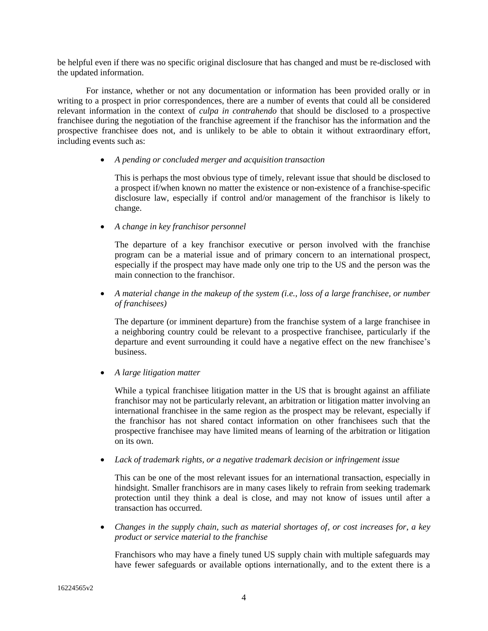be helpful even if there was no specific original disclosure that has changed and must be re-disclosed with the updated information.

For instance, whether or not any documentation or information has been provided orally or in writing to a prospect in prior correspondences, there are a number of events that could all be considered relevant information in the context of *culpa in contrahendo* that should be disclosed to a prospective franchisee during the negotiation of the franchise agreement if the franchisor has the information and the prospective franchisee does not, and is unlikely to be able to obtain it without extraordinary effort, including events such as:

### • *A pending or concluded merger and acquisition transaction*

This is perhaps the most obvious type of timely, relevant issue that should be disclosed to a prospect if/when known no matter the existence or non-existence of a franchise-specific disclosure law, especially if control and/or management of the franchisor is likely to change.

• *A change in key franchisor personnel*

The departure of a key franchisor executive or person involved with the franchise program can be a material issue and of primary concern to an international prospect, especially if the prospect may have made only one trip to the US and the person was the main connection to the franchisor.

• *A material change in the makeup of the system (i.e., loss of a large franchisee, or number of franchisees)*

The departure (or imminent departure) from the franchise system of a large franchisee in a neighboring country could be relevant to a prospective franchisee, particularly if the departure and event surrounding it could have a negative effect on the new franchisee's business.

• *A large litigation matter*

While a typical franchisee litigation matter in the US that is brought against an affiliate franchisor may not be particularly relevant, an arbitration or litigation matter involving an international franchisee in the same region as the prospect may be relevant, especially if the franchisor has not shared contact information on other franchisees such that the prospective franchisee may have limited means of learning of the arbitration or litigation on its own.

• *Lack of trademark rights, or a negative trademark decision or infringement issue*

This can be one of the most relevant issues for an international transaction, especially in hindsight. Smaller franchisors are in many cases likely to refrain from seeking trademark protection until they think a deal is close, and may not know of issues until after a transaction has occurred.

• *Changes in the supply chain, such as material shortages of, or cost increases for, a key product or service material to the franchise*

Franchisors who may have a finely tuned US supply chain with multiple safeguards may have fewer safeguards or available options internationally, and to the extent there is a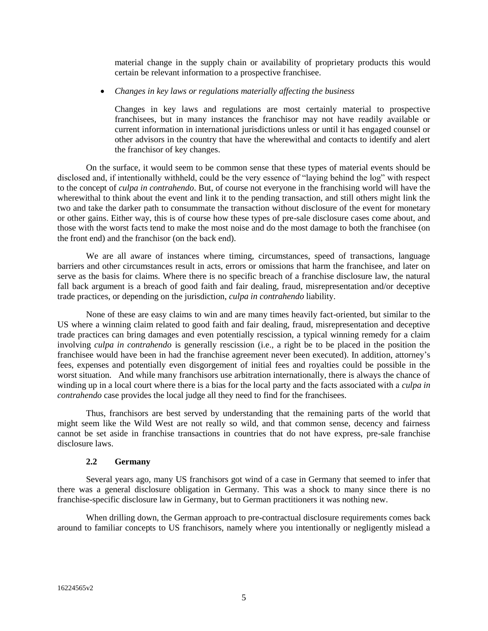material change in the supply chain or availability of proprietary products this would certain be relevant information to a prospective franchisee.

### • *Changes in key laws or regulations materially affecting the business*

Changes in key laws and regulations are most certainly material to prospective franchisees, but in many instances the franchisor may not have readily available or current information in international jurisdictions unless or until it has engaged counsel or other advisors in the country that have the wherewithal and contacts to identify and alert the franchisor of key changes.

On the surface, it would seem to be common sense that these types of material events should be disclosed and, if intentionally withheld, could be the very essence of "laying behind the log" with respect to the concept of *culpa in contrahendo*. But, of course not everyone in the franchising world will have the wherewithal to think about the event and link it to the pending transaction, and still others might link the two and take the darker path to consummate the transaction without disclosure of the event for monetary or other gains. Either way, this is of course how these types of pre-sale disclosure cases come about, and those with the worst facts tend to make the most noise and do the most damage to both the franchisee (on the front end) and the franchisor (on the back end).

We are all aware of instances where timing, circumstances, speed of transactions, language barriers and other circumstances result in acts, errors or omissions that harm the franchisee, and later on serve as the basis for claims. Where there is no specific breach of a franchise disclosure law, the natural fall back argument is a breach of good faith and fair dealing, fraud, misrepresentation and/or deceptive trade practices, or depending on the jurisdiction, *culpa in contrahendo* liability.

None of these are easy claims to win and are many times heavily fact-oriented, but similar to the US where a winning claim related to good faith and fair dealing, fraud, misrepresentation and deceptive trade practices can bring damages and even potentially rescission, a typical winning remedy for a claim involving *culpa in contrahendo* is generally rescission (i.e., a right be to be placed in the position the franchisee would have been in had the franchise agreement never been executed). In addition, attorney's fees, expenses and potentially even disgorgement of initial fees and royalties could be possible in the worst situation. And while many franchisors use arbitration internationally, there is always the chance of winding up in a local court where there is a bias for the local party and the facts associated with a *culpa in contrahendo* case provides the local judge all they need to find for the franchisees.

Thus, franchisors are best served by understanding that the remaining parts of the world that might seem like the Wild West are not really so wild, and that common sense, decency and fairness cannot be set aside in franchise transactions in countries that do not have express, pre-sale franchise disclosure laws.

### **2.2 Germany**

Several years ago, many US franchisors got wind of a case in Germany that seemed to infer that there was a general disclosure obligation in Germany. This was a shock to many since there is no franchise-specific disclosure law in Germany, but to German practitioners it was nothing new.

When drilling down, the German approach to pre-contractual disclosure requirements comes back around to familiar concepts to US franchisors, namely where you intentionally or negligently mislead a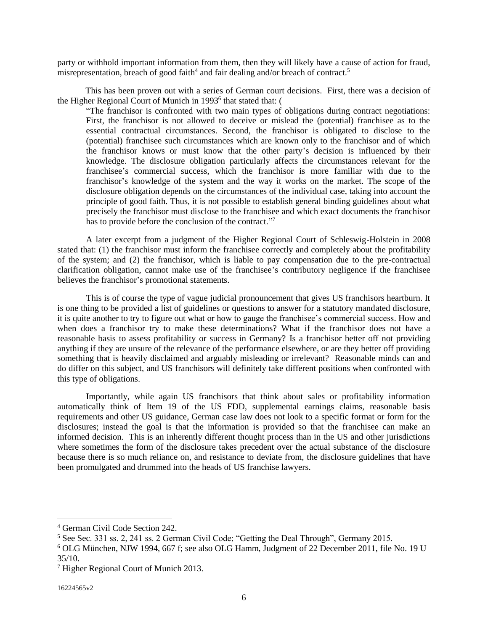party or withhold important information from them, then they will likely have a cause of action for fraud, misrepresentation, breach of good faith<sup>4</sup> and fair dealing and/or breach of contract.<sup>5</sup>

This has been proven out with a series of German court decisions. First, there was a decision of the Higher Regional Court of Munich in 1993<sup>6</sup> that stated that: (

"The franchisor is confronted with two main types of obligations during contract negotiations: First, the franchisor is not allowed to deceive or mislead the (potential) franchisee as to the essential contractual circumstances. Second, the franchisor is obligated to disclose to the (potential) franchisee such circumstances which are known only to the franchisor and of which the franchisor knows or must know that the other party's decision is influenced by their knowledge. The disclosure obligation particularly affects the circumstances relevant for the franchisee's commercial success, which the franchisor is more familiar with due to the franchisor's knowledge of the system and the way it works on the market. The scope of the disclosure obligation depends on the circumstances of the individual case, taking into account the principle of good faith. Thus, it is not possible to establish general binding guidelines about what precisely the franchisor must disclose to the franchisee and which exact documents the franchisor has to provide before the conclusion of the contract."7

A later excerpt from a judgment of the Higher Regional Court of Schleswig-Holstein in 2008 stated that: (1) the franchisor must inform the franchisee correctly and completely about the profitability of the system; and (2) the franchisor, which is liable to pay compensation due to the pre-contractual clarification obligation, cannot make use of the franchisee's contributory negligence if the franchisee believes the franchisor's promotional statements.

This is of course the type of vague judicial pronouncement that gives US franchisors heartburn. It is one thing to be provided a list of guidelines or questions to answer for a statutory mandated disclosure, it is quite another to try to figure out what or how to gauge the franchisee's commercial success. How and when does a franchisor try to make these determinations? What if the franchisor does not have a reasonable basis to assess profitability or success in Germany? Is a franchisor better off not providing anything if they are unsure of the relevance of the performance elsewhere, or are they better off providing something that is heavily disclaimed and arguably misleading or irrelevant? Reasonable minds can and do differ on this subject, and US franchisors will definitely take different positions when confronted with this type of obligations.

Importantly, while again US franchisors that think about sales or profitability information automatically think of Item 19 of the US FDD, supplemental earnings claims, reasonable basis requirements and other US guidance, German case law does not look to a specific format or form for the disclosures; instead the goal is that the information is provided so that the franchisee can make an informed decision. This is an inherently different thought process than in the US and other jurisdictions where sometimes the form of the disclosure takes precedent over the actual substance of the disclosure because there is so much reliance on, and resistance to deviate from, the disclosure guidelines that have been promulgated and drummed into the heads of US franchise lawyers.

<sup>4</sup> German Civil Code Section 242.

<sup>5</sup> See Sec. 331 ss. 2, 241 ss. 2 German Civil Code; "Getting the Deal Through", Germany 2015.

<sup>6</sup> OLG München, NJW 1994, 667 f; see also OLG Hamm, Judgment of 22 December 2011, file No. 19 U 35/10.

<sup>7</sup> Higher Regional Court of Munich 2013.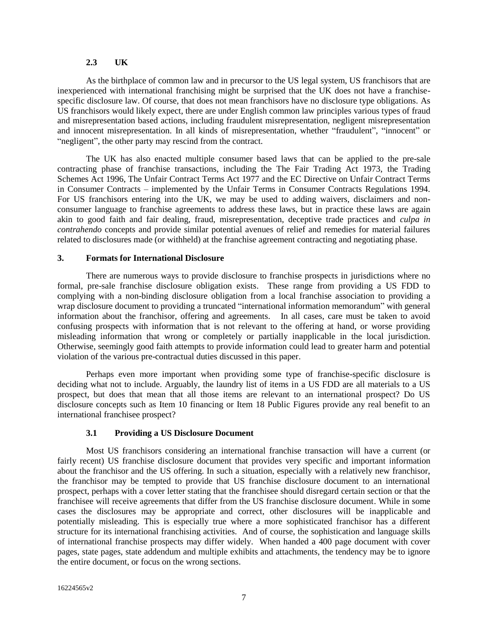#### **2.3 UK**

As the birthplace of common law and in precursor to the US legal system, US franchisors that are inexperienced with international franchising might be surprised that the UK does not have a franchisespecific disclosure law. Of course, that does not mean franchisors have no disclosure type obligations. As US franchisors would likely expect, there are under English common law principles various types of fraud and misrepresentation based actions, including fraudulent misrepresentation, negligent misrepresentation and innocent misrepresentation. In all kinds of misrepresentation, whether "fraudulent", "innocent" or "negligent", the other party may rescind from the contract.

The UK has also enacted multiple consumer based laws that can be applied to the pre-sale contracting phase of franchise transactions, including the The Fair Trading Act 1973, the Trading Schemes Act 1996, The Unfair Contract Terms Act 1977 and the EC Directive on Unfair Contract Terms in Consumer Contracts – implemented by the Unfair Terms in Consumer Contracts Regulations 1994. For US franchisors entering into the UK, we may be used to adding waivers, disclaimers and nonconsumer language to franchise agreements to address these laws, but in practice these laws are again akin to good faith and fair dealing, fraud, misrepresentation, deceptive trade practices and *culpa in contrahendo* concepts and provide similar potential avenues of relief and remedies for material failures related to disclosures made (or withheld) at the franchise agreement contracting and negotiating phase.

#### **3. Formats for International Disclosure**

There are numerous ways to provide disclosure to franchise prospects in jurisdictions where no formal, pre-sale franchise disclosure obligation exists. These range from providing a US FDD to complying with a non-binding disclosure obligation from a local franchise association to providing a wrap disclosure document to providing a truncated "international information memorandum" with general information about the franchisor, offering and agreements. In all cases, care must be taken to avoid confusing prospects with information that is not relevant to the offering at hand, or worse providing misleading information that wrong or completely or partially inapplicable in the local jurisdiction. Otherwise, seemingly good faith attempts to provide information could lead to greater harm and potential violation of the various pre-contractual duties discussed in this paper.

Perhaps even more important when providing some type of franchise-specific disclosure is deciding what not to include. Arguably, the laundry list of items in a US FDD are all materials to a US prospect, but does that mean that all those items are relevant to an international prospect? Do US disclosure concepts such as Item 10 financing or Item 18 Public Figures provide any real benefit to an international franchisee prospect?

### **3.1 Providing a US Disclosure Document**

Most US franchisors considering an international franchise transaction will have a current (or fairly recent) US franchise disclosure document that provides very specific and important information about the franchisor and the US offering. In such a situation, especially with a relatively new franchisor, the franchisor may be tempted to provide that US franchise disclosure document to an international prospect, perhaps with a cover letter stating that the franchisee should disregard certain section or that the franchisee will receive agreements that differ from the US franchise disclosure document. While in some cases the disclosures may be appropriate and correct, other disclosures will be inapplicable and potentially misleading. This is especially true where a more sophisticated franchisor has a different structure for its international franchising activities. And of course, the sophistication and language skills of international franchise prospects may differ widely. When handed a 400 page document with cover pages, state pages, state addendum and multiple exhibits and attachments, the tendency may be to ignore the entire document, or focus on the wrong sections.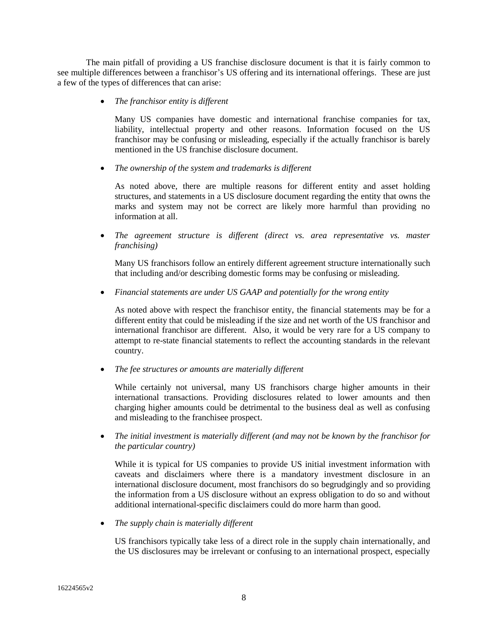The main pitfall of providing a US franchise disclosure document is that it is fairly common to see multiple differences between a franchisor's US offering and its international offerings. These are just a few of the types of differences that can arise:

• *The franchisor entity is different*

Many US companies have domestic and international franchise companies for tax, liability, intellectual property and other reasons. Information focused on the US franchisor may be confusing or misleading, especially if the actually franchisor is barely mentioned in the US franchise disclosure document.

• *The ownership of the system and trademarks is different*

As noted above, there are multiple reasons for different entity and asset holding structures, and statements in a US disclosure document regarding the entity that owns the marks and system may not be correct are likely more harmful than providing no information at all.

• *The agreement structure is different (direct vs. area representative vs. master franchising)*

Many US franchisors follow an entirely different agreement structure internationally such that including and/or describing domestic forms may be confusing or misleading.

• *Financial statements are under US GAAP and potentially for the wrong entity*

As noted above with respect the franchisor entity, the financial statements may be for a different entity that could be misleading if the size and net worth of the US franchisor and international franchisor are different. Also, it would be very rare for a US company to attempt to re-state financial statements to reflect the accounting standards in the relevant country.

• *The fee structures or amounts are materially different*

While certainly not universal, many US franchisors charge higher amounts in their international transactions. Providing disclosures related to lower amounts and then charging higher amounts could be detrimental to the business deal as well as confusing and misleading to the franchisee prospect.

• *The initial investment is materially different (and may not be known by the franchisor for the particular country)*

While it is typical for US companies to provide US initial investment information with caveats and disclaimers where there is a mandatory investment disclosure in an international disclosure document, most franchisors do so begrudgingly and so providing the information from a US disclosure without an express obligation to do so and without additional international-specific disclaimers could do more harm than good.

• *The supply chain is materially different*

US franchisors typically take less of a direct role in the supply chain internationally, and the US disclosures may be irrelevant or confusing to an international prospect, especially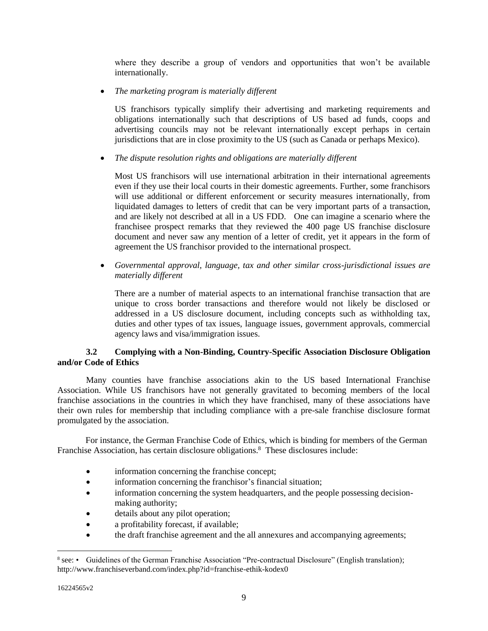where they describe a group of vendors and opportunities that won't be available internationally.

• *The marketing program is materially different*

US franchisors typically simplify their advertising and marketing requirements and obligations internationally such that descriptions of US based ad funds, coops and advertising councils may not be relevant internationally except perhaps in certain jurisdictions that are in close proximity to the US (such as Canada or perhaps Mexico).

• *The dispute resolution rights and obligations are materially different*

Most US franchisors will use international arbitration in their international agreements even if they use their local courts in their domestic agreements. Further, some franchisors will use additional or different enforcement or security measures internationally, from liquidated damages to letters of credit that can be very important parts of a transaction, and are likely not described at all in a US FDD. One can imagine a scenario where the franchisee prospect remarks that they reviewed the 400 page US franchise disclosure document and never saw any mention of a letter of credit, yet it appears in the form of agreement the US franchisor provided to the international prospect.

• *Governmental approval, language, tax and other similar cross-jurisdictional issues are materially different*

There are a number of material aspects to an international franchise transaction that are unique to cross border transactions and therefore would not likely be disclosed or addressed in a US disclosure document, including concepts such as withholding tax, duties and other types of tax issues, language issues, government approvals, commercial agency laws and visa/immigration issues.

## **3.2 Complying with a Non-Binding, Country-Specific Association Disclosure Obligation and/or Code of Ethics**

Many counties have franchise associations akin to the US based International Franchise Association. While US franchisors have not generally gravitated to becoming members of the local franchise associations in the countries in which they have franchised, many of these associations have their own rules for membership that including compliance with a pre-sale franchise disclosure format promulgated by the association.

For instance, the German Franchise Code of Ethics, which is binding for members of the German Franchise Association, has certain disclosure obligations. 8 These disclosures include:

- information concerning the franchise concept;
- information concerning the franchisor's financial situation;
- information concerning the system headquarters, and the people possessing decisionmaking authority;
- details about any pilot operation;
- a profitability forecast, if available;
- the draft franchise agreement and the all annexures and accompanying agreements;

<sup>&</sup>lt;sup>8</sup> see: • Guidelines of the German Franchise Association "Pre-contractual Disclosure" (English translation); http://www.franchiseverband.com/index.php?id=franchise-ethik-kodex0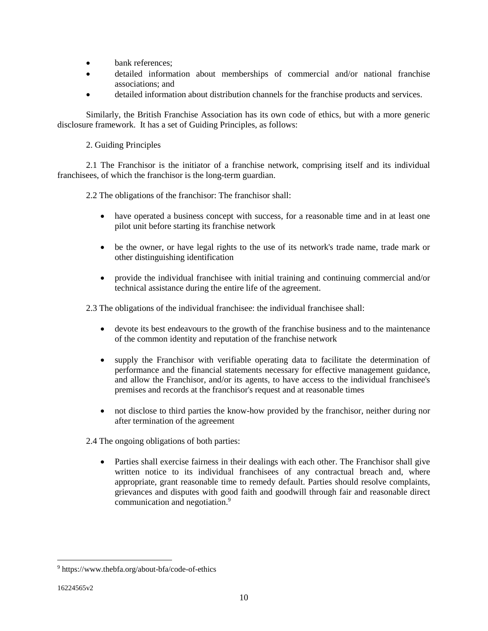- bank references:
- detailed information about memberships of commercial and/or national franchise associations; and
- detailed information about distribution channels for the franchise products and services.

Similarly, the British Franchise Association has its own code of ethics, but with a more generic disclosure framework. It has a set of Guiding Principles, as follows:

2. Guiding Principles

2.1 The Franchisor is the initiator of a franchise network, comprising itself and its individual franchisees, of which the franchisor is the long-term guardian.

2.2 The obligations of the franchisor: The franchisor shall:

- have operated a business concept with success, for a reasonable time and in at least one pilot unit before starting its franchise network
- be the owner, or have legal rights to the use of its network's trade name, trade mark or other distinguishing identification
- provide the individual franchisee with initial training and continuing commercial and/or technical assistance during the entire life of the agreement.

2.3 The obligations of the individual franchisee: the individual franchisee shall:

- devote its best endeavours to the growth of the franchise business and to the maintenance of the common identity and reputation of the franchise network
- supply the Franchisor with verifiable operating data to facilitate the determination of performance and the financial statements necessary for effective management guidance, and allow the Franchisor, and/or its agents, to have access to the individual franchisee's premises and records at the franchisor's request and at reasonable times
- not disclose to third parties the know-how provided by the franchisor, neither during nor after termination of the agreement

2.4 The ongoing obligations of both parties:

• Parties shall exercise fairness in their dealings with each other. The Franchisor shall give written notice to its individual franchisees of any contractual breach and, where appropriate, grant reasonable time to remedy default. Parties should resolve complaints, grievances and disputes with good faith and goodwill through fair and reasonable direct communication and negotiation.<sup>9</sup>

<sup>9</sup> https://www.thebfa.org/about-bfa/code-of-ethics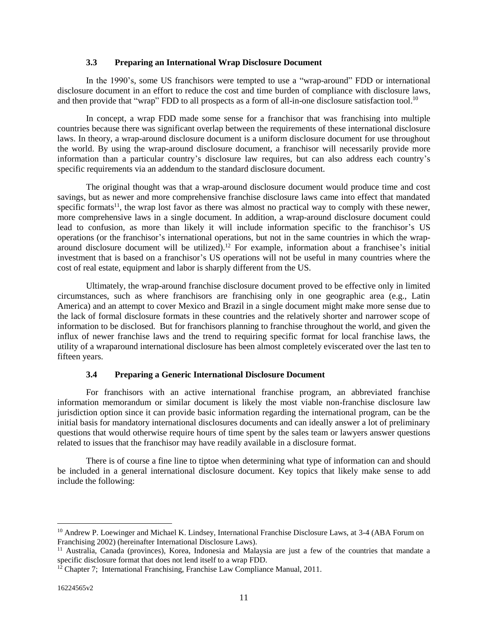### **3.3 Preparing an International Wrap Disclosure Document**

In the 1990's, some US franchisors were tempted to use a "wrap-around" FDD or international disclosure document in an effort to reduce the cost and time burden of compliance with disclosure laws, and then provide that "wrap" FDD to all prospects as a form of all-in-one disclosure satisfaction tool.<sup>10</sup>

In concept, a wrap FDD made some sense for a franchisor that was franchising into multiple countries because there was significant overlap between the requirements of these international disclosure laws. In theory, a wrap-around disclosure document is a uniform disclosure document for use throughout the world. By using the wrap-around disclosure document, a franchisor will necessarily provide more information than a particular country's disclosure law requires, but can also address each country's specific requirements via an addendum to the standard disclosure document.

The original thought was that a wrap-around disclosure document would produce time and cost savings, but as newer and more comprehensive franchise disclosure laws came into effect that mandated specific formats<sup>11</sup>, the wrap lost favor as there was almost no practical way to comply with these newer, more comprehensive laws in a single document. In addition, a wrap-around disclosure document could lead to confusion, as more than likely it will include information specific to the franchisor's US operations (or the franchisor's international operations, but not in the same countries in which the wraparound disclosure document will be utilized).<sup>12</sup> For example, information about a franchisee's initial investment that is based on a franchisor's US operations will not be useful in many countries where the cost of real estate, equipment and labor is sharply different from the US.

Ultimately, the wrap-around franchise disclosure document proved to be effective only in limited circumstances, such as where franchisors are franchising only in one geographic area (e.g., Latin America) and an attempt to cover Mexico and Brazil in a single document might make more sense due to the lack of formal disclosure formats in these countries and the relatively shorter and narrower scope of information to be disclosed. But for franchisors planning to franchise throughout the world, and given the influx of newer franchise laws and the trend to requiring specific format for local franchise laws, the utility of a wraparound international disclosure has been almost completely eviscerated over the last ten to fifteen years.

#### **3.4 Preparing a Generic International Disclosure Document**

For franchisors with an active international franchise program, an abbreviated franchise information memorandum or similar document is likely the most viable non-franchise disclosure law jurisdiction option since it can provide basic information regarding the international program, can be the initial basis for mandatory international disclosures documents and can ideally answer a lot of preliminary questions that would otherwise require hours of time spent by the sales team or lawyers answer questions related to issues that the franchisor may have readily available in a disclosure format.

There is of course a fine line to tiptoe when determining what type of information can and should be included in a general international disclosure document. Key topics that likely make sense to add include the following:

<sup>&</sup>lt;sup>10</sup> Andrew P. Loewinger and Michael K. Lindsey, International Franchise Disclosure Laws, at 3-4 (ABA Forum on Franchising 2002) (hereinafter International Disclosure Laws).

<sup>11</sup> Australia, Canada (provinces), Korea, Indonesia and Malaysia are just a few of the countries that mandate a specific disclosure format that does not lend itself to a wrap FDD.

 $12$  Chapter 7; International Franchising, Franchise Law Compliance Manual, 2011.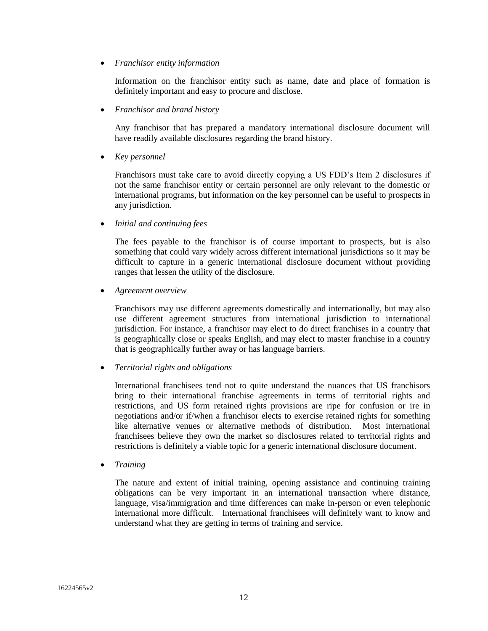• *Franchisor entity information*

Information on the franchisor entity such as name, date and place of formation is definitely important and easy to procure and disclose.

• *Franchisor and brand history*

Any franchisor that has prepared a mandatory international disclosure document will have readily available disclosures regarding the brand history.

• *Key personnel*

Franchisors must take care to avoid directly copying a US FDD's Item 2 disclosures if not the same franchisor entity or certain personnel are only relevant to the domestic or international programs, but information on the key personnel can be useful to prospects in any jurisdiction.

• *Initial and continuing fees*

The fees payable to the franchisor is of course important to prospects, but is also something that could vary widely across different international jurisdictions so it may be difficult to capture in a generic international disclosure document without providing ranges that lessen the utility of the disclosure.

• *Agreement overview*

Franchisors may use different agreements domestically and internationally, but may also use different agreement structures from international jurisdiction to international jurisdiction. For instance, a franchisor may elect to do direct franchises in a country that is geographically close or speaks English, and may elect to master franchise in a country that is geographically further away or has language barriers.

• *Territorial rights and obligations*

International franchisees tend not to quite understand the nuances that US franchisors bring to their international franchise agreements in terms of territorial rights and restrictions, and US form retained rights provisions are ripe for confusion or ire in negotiations and/or if/when a franchisor elects to exercise retained rights for something like alternative venues or alternative methods of distribution. Most international franchisees believe they own the market so disclosures related to territorial rights and restrictions is definitely a viable topic for a generic international disclosure document.

• *Training*

The nature and extent of initial training, opening assistance and continuing training obligations can be very important in an international transaction where distance, language, visa/immigration and time differences can make in-person or even telephonic international more difficult. International franchisees will definitely want to know and understand what they are getting in terms of training and service.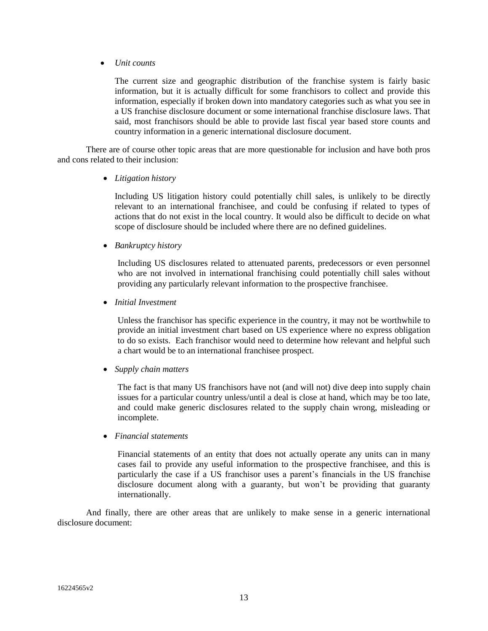• *Unit counts*

The current size and geographic distribution of the franchise system is fairly basic information, but it is actually difficult for some franchisors to collect and provide this information, especially if broken down into mandatory categories such as what you see in a US franchise disclosure document or some international franchise disclosure laws. That said, most franchisors should be able to provide last fiscal year based store counts and country information in a generic international disclosure document.

There are of course other topic areas that are more questionable for inclusion and have both pros and cons related to their inclusion:

• *Litigation history* 

Including US litigation history could potentially chill sales, is unlikely to be directly relevant to an international franchisee, and could be confusing if related to types of actions that do not exist in the local country. It would also be difficult to decide on what scope of disclosure should be included where there are no defined guidelines.

• *Bankruptcy history*

Including US disclosures related to attenuated parents, predecessors or even personnel who are not involved in international franchising could potentially chill sales without providing any particularly relevant information to the prospective franchisee.

• *Initial Investment*

Unless the franchisor has specific experience in the country, it may not be worthwhile to provide an initial investment chart based on US experience where no express obligation to do so exists. Each franchisor would need to determine how relevant and helpful such a chart would be to an international franchisee prospect.

• *Supply chain matters* 

The fact is that many US franchisors have not (and will not) dive deep into supply chain issues for a particular country unless/until a deal is close at hand, which may be too late, and could make generic disclosures related to the supply chain wrong, misleading or incomplete.

• *Financial statements*

Financial statements of an entity that does not actually operate any units can in many cases fail to provide any useful information to the prospective franchisee, and this is particularly the case if a US franchisor uses a parent's financials in the US franchise disclosure document along with a guaranty, but won't be providing that guaranty internationally.

And finally, there are other areas that are unlikely to make sense in a generic international disclosure document: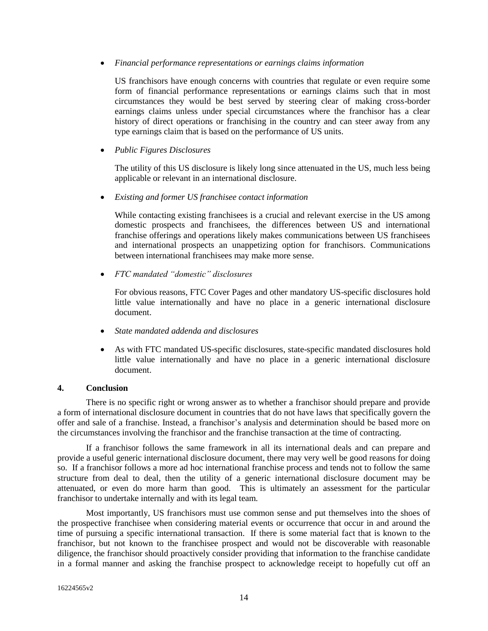• *Financial performance representations or earnings claims information* 

US franchisors have enough concerns with countries that regulate or even require some form of financial performance representations or earnings claims such that in most circumstances they would be best served by steering clear of making cross-border earnings claims unless under special circumstances where the franchisor has a clear history of direct operations or franchising in the country and can steer away from any type earnings claim that is based on the performance of US units.

• *Public Figures Disclosures*

The utility of this US disclosure is likely long since attenuated in the US, much less being applicable or relevant in an international disclosure.

• *Existing and former US franchisee contact information*

While contacting existing franchisees is a crucial and relevant exercise in the US among domestic prospects and franchisees, the differences between US and international franchise offerings and operations likely makes communications between US franchisees and international prospects an unappetizing option for franchisors. Communications between international franchisees may make more sense.

• *FTC mandated "domestic" disclosures*

For obvious reasons, FTC Cover Pages and other mandatory US-specific disclosures hold little value internationally and have no place in a generic international disclosure document.

- *State mandated addenda and disclosures*
- As with FTC mandated US-specific disclosures, state-specific mandated disclosures hold little value internationally and have no place in a generic international disclosure document.

## **4. Conclusion**

There is no specific right or wrong answer as to whether a franchisor should prepare and provide a form of international disclosure document in countries that do not have laws that specifically govern the offer and sale of a franchise. Instead, a franchisor's analysis and determination should be based more on the circumstances involving the franchisor and the franchise transaction at the time of contracting.

If a franchisor follows the same framework in all its international deals and can prepare and provide a useful generic international disclosure document, there may very well be good reasons for doing so. If a franchisor follows a more ad hoc international franchise process and tends not to follow the same structure from deal to deal, then the utility of a generic international disclosure document may be attenuated, or even do more harm than good. This is ultimately an assessment for the particular franchisor to undertake internally and with its legal team.

Most importantly, US franchisors must use common sense and put themselves into the shoes of the prospective franchisee when considering material events or occurrence that occur in and around the time of pursuing a specific international transaction. If there is some material fact that is known to the franchisor, but not known to the franchisee prospect and would not be discoverable with reasonable diligence, the franchisor should proactively consider providing that information to the franchise candidate in a formal manner and asking the franchise prospect to acknowledge receipt to hopefully cut off an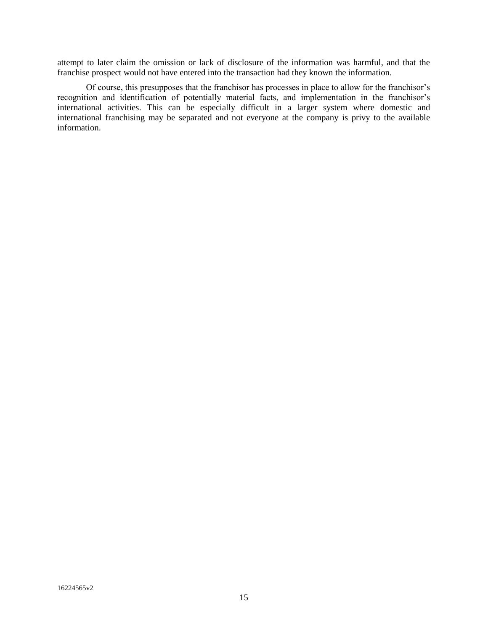attempt to later claim the omission or lack of disclosure of the information was harmful, and that the franchise prospect would not have entered into the transaction had they known the information.

Of course, this presupposes that the franchisor has processes in place to allow for the franchisor's recognition and identification of potentially material facts, and implementation in the franchisor's international activities. This can be especially difficult in a larger system where domestic and international franchising may be separated and not everyone at the company is privy to the available information.